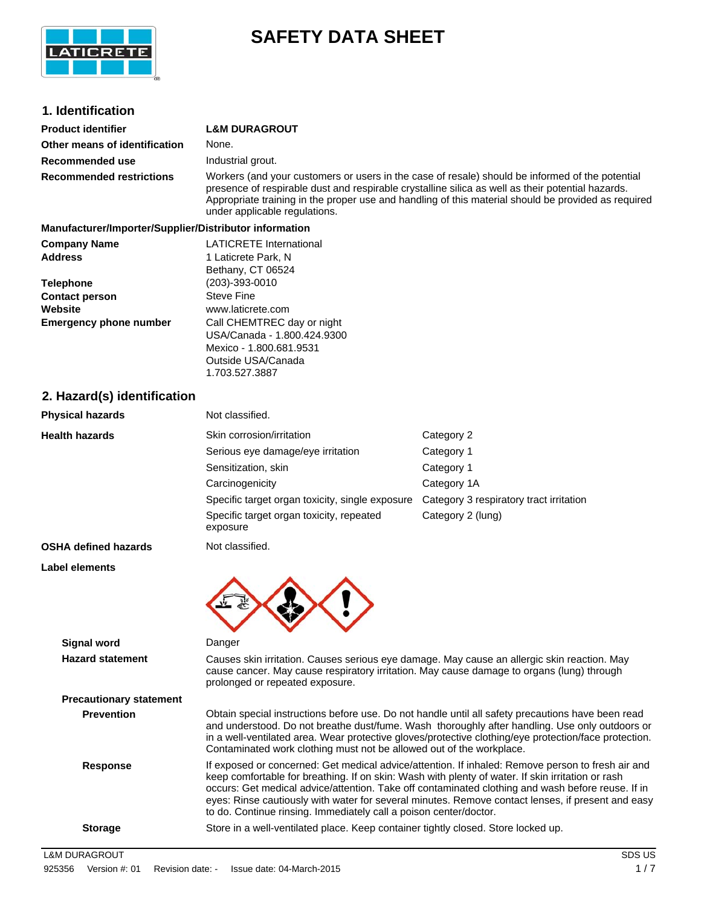

# **SAFETY DATA SHEET**

| 1. Identification                                                                     |                                                                                                                                                                                                                                                                                                                                                                                                                                                                                       |                                                                                                                                                                                                        |  |
|---------------------------------------------------------------------------------------|---------------------------------------------------------------------------------------------------------------------------------------------------------------------------------------------------------------------------------------------------------------------------------------------------------------------------------------------------------------------------------------------------------------------------------------------------------------------------------------|--------------------------------------------------------------------------------------------------------------------------------------------------------------------------------------------------------|--|
|                                                                                       |                                                                                                                                                                                                                                                                                                                                                                                                                                                                                       |                                                                                                                                                                                                        |  |
| <b>Product identifier</b>                                                             | <b>L&amp;M DURAGROUT</b>                                                                                                                                                                                                                                                                                                                                                                                                                                                              |                                                                                                                                                                                                        |  |
| Other means of identification                                                         | None.                                                                                                                                                                                                                                                                                                                                                                                                                                                                                 |                                                                                                                                                                                                        |  |
| Recommended use                                                                       | Industrial grout.                                                                                                                                                                                                                                                                                                                                                                                                                                                                     |                                                                                                                                                                                                        |  |
| <b>Recommended restrictions</b>                                                       | presence of respirable dust and respirable crystalline silica as well as their potential hazards.<br>under applicable regulations.                                                                                                                                                                                                                                                                                                                                                    | Workers (and your customers or users in the case of resale) should be informed of the potential<br>Appropriate training in the proper use and handling of this material should be provided as required |  |
| Manufacturer/Importer/Supplier/Distributor information                                |                                                                                                                                                                                                                                                                                                                                                                                                                                                                                       |                                                                                                                                                                                                        |  |
| <b>Company Name</b><br><b>Address</b>                                                 | <b>LATICRETE International</b><br>1 Laticrete Park, N<br>Bethany, CT 06524                                                                                                                                                                                                                                                                                                                                                                                                            |                                                                                                                                                                                                        |  |
| <b>Telephone</b><br><b>Contact person</b><br>Website<br><b>Emergency phone number</b> | $(203) - 393 - 0010$<br><b>Steve Fine</b><br>www.laticrete.com<br>Call CHEMTREC day or night<br>USA/Canada - 1.800.424.9300<br>Mexico - 1.800.681.9531<br>Outside USA/Canada                                                                                                                                                                                                                                                                                                          |                                                                                                                                                                                                        |  |
|                                                                                       | 1.703.527.3887                                                                                                                                                                                                                                                                                                                                                                                                                                                                        |                                                                                                                                                                                                        |  |
| 2. Hazard(s) identification                                                           |                                                                                                                                                                                                                                                                                                                                                                                                                                                                                       |                                                                                                                                                                                                        |  |
| <b>Physical hazards</b>                                                               | Not classified.                                                                                                                                                                                                                                                                                                                                                                                                                                                                       |                                                                                                                                                                                                        |  |
| <b>Health hazards</b>                                                                 | Skin corrosion/irritation                                                                                                                                                                                                                                                                                                                                                                                                                                                             | Category 2                                                                                                                                                                                             |  |
|                                                                                       | Serious eye damage/eye irritation                                                                                                                                                                                                                                                                                                                                                                                                                                                     | Category 1                                                                                                                                                                                             |  |
|                                                                                       | Sensitization, skin                                                                                                                                                                                                                                                                                                                                                                                                                                                                   | Category 1                                                                                                                                                                                             |  |
|                                                                                       | Carcinogenicity                                                                                                                                                                                                                                                                                                                                                                                                                                                                       | Category 1A                                                                                                                                                                                            |  |
|                                                                                       | Specific target organ toxicity, single exposure                                                                                                                                                                                                                                                                                                                                                                                                                                       | Category 3 respiratory tract irritation                                                                                                                                                                |  |
|                                                                                       | Specific target organ toxicity, repeated<br>exposure                                                                                                                                                                                                                                                                                                                                                                                                                                  | Category 2 (lung)                                                                                                                                                                                      |  |
| <b>OSHA defined hazards</b>                                                           | Not classified.                                                                                                                                                                                                                                                                                                                                                                                                                                                                       |                                                                                                                                                                                                        |  |
| Label elements                                                                        |                                                                                                                                                                                                                                                                                                                                                                                                                                                                                       |                                                                                                                                                                                                        |  |
|                                                                                       |                                                                                                                                                                                                                                                                                                                                                                                                                                                                                       |                                                                                                                                                                                                        |  |
| <b>Signal word</b>                                                                    | Danger                                                                                                                                                                                                                                                                                                                                                                                                                                                                                |                                                                                                                                                                                                        |  |
| <b>Hazard statement</b>                                                               | cause cancer. May cause respiratory irritation. May cause damage to organs (lung) through<br>prolonged or repeated exposure.                                                                                                                                                                                                                                                                                                                                                          | Causes skin irritation. Causes serious eye damage. May cause an allergic skin reaction. May                                                                                                            |  |
| <b>Precautionary statement</b>                                                        |                                                                                                                                                                                                                                                                                                                                                                                                                                                                                       |                                                                                                                                                                                                        |  |
| <b>Prevention</b>                                                                     | Obtain special instructions before use. Do not handle until all safety precautions have been read<br>and understood. Do not breathe dust/fume. Wash thoroughly after handling. Use only outdoors or<br>in a well-ventilated area. Wear protective gloves/protective clothing/eye protection/face protection.<br>Contaminated work clothing must not be allowed out of the workplace.                                                                                                  |                                                                                                                                                                                                        |  |
| <b>Response</b>                                                                       | If exposed or concerned: Get medical advice/attention. If inhaled: Remove person to fresh air and<br>keep comfortable for breathing. If on skin: Wash with plenty of water. If skin irritation or rash<br>occurs: Get medical advice/attention. Take off contaminated clothing and wash before reuse. If in<br>eyes: Rinse cautiously with water for several minutes. Remove contact lenses, if present and easy<br>to do. Continue rinsing. Immediately call a poison center/doctor. |                                                                                                                                                                                                        |  |

**Storage** Store in a well-ventilated place. Keep container tightly closed. Store locked up.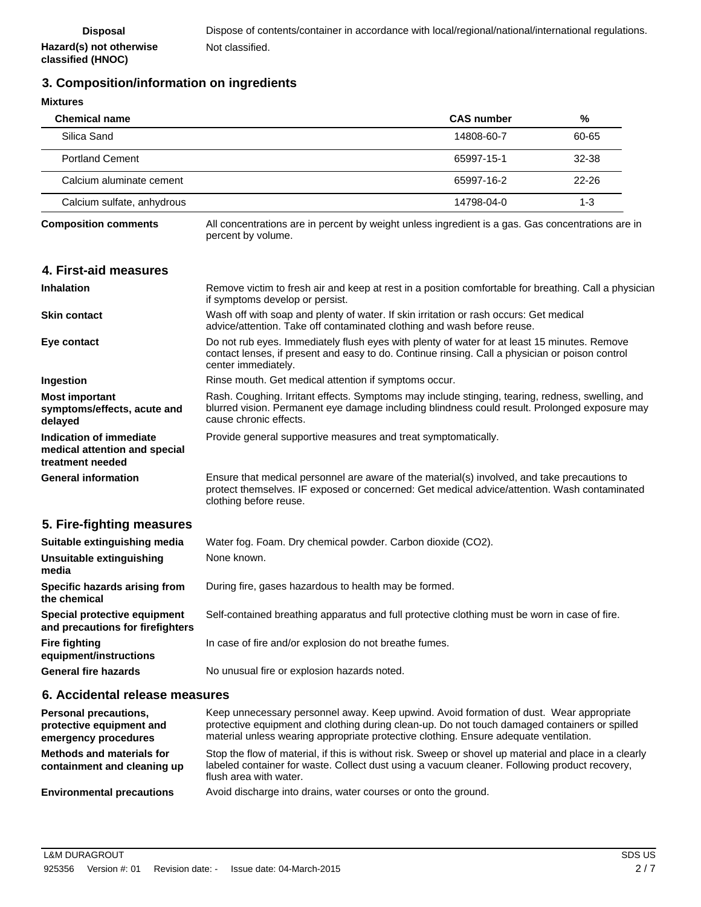# **3. Composition/information on ingredients**

**Hazard(s) not otherwise classified (HNOC)**

| <b>Mixtures</b>                                                              |                                                                                                                                                                                                                             |                   |         |
|------------------------------------------------------------------------------|-----------------------------------------------------------------------------------------------------------------------------------------------------------------------------------------------------------------------------|-------------------|---------|
| <b>Chemical name</b>                                                         |                                                                                                                                                                                                                             | <b>CAS number</b> | %       |
| Silica Sand                                                                  |                                                                                                                                                                                                                             | 14808-60-7        | 60-65   |
| <b>Portland Cement</b>                                                       |                                                                                                                                                                                                                             | 65997-15-1        | 32-38   |
| Calcium aluminate cement                                                     |                                                                                                                                                                                                                             | 65997-16-2        | 22-26   |
| Calcium sulfate, anhydrous                                                   |                                                                                                                                                                                                                             | 14798-04-0        | $1 - 3$ |
| <b>Composition comments</b>                                                  | All concentrations are in percent by weight unless ingredient is a gas. Gas concentrations are in<br>percent by volume.                                                                                                     |                   |         |
| 4. First-aid measures                                                        |                                                                                                                                                                                                                             |                   |         |
| <b>Inhalation</b>                                                            | Remove victim to fresh air and keep at rest in a position comfortable for breathing. Call a physician<br>if symptoms develop or persist.                                                                                    |                   |         |
| <b>Skin contact</b>                                                          | Wash off with soap and plenty of water. If skin irritation or rash occurs: Get medical<br>advice/attention. Take off contaminated clothing and wash before reuse.                                                           |                   |         |
| Eye contact                                                                  | Do not rub eyes. Immediately flush eyes with plenty of water for at least 15 minutes. Remove<br>contact lenses, if present and easy to do. Continue rinsing. Call a physician or poison control<br>center immediately.      |                   |         |
| Ingestion                                                                    | Rinse mouth. Get medical attention if symptoms occur.                                                                                                                                                                       |                   |         |
| <b>Most important</b><br>symptoms/effects, acute and<br>delayed              | Rash. Coughing. Irritant effects. Symptoms may include stinging, tearing, redness, swelling, and<br>blurred vision. Permanent eye damage including blindness could result. Prolonged exposure may<br>cause chronic effects. |                   |         |
| Indication of immediate<br>medical attention and special<br>treatment needed | Provide general supportive measures and treat symptomatically.                                                                                                                                                              |                   |         |
| <b>General information</b>                                                   | Ensure that medical personnel are aware of the material(s) involved, and take precautions to<br>protect themselves. IF exposed or concerned: Get medical advice/attention. Wash contaminated<br>clothing before reuse.      |                   |         |
| 5. Fire-fighting measures                                                    |                                                                                                                                                                                                                             |                   |         |
| Suitable extinguishing media                                                 | Water fog. Foam. Dry chemical powder. Carbon dioxide (CO2).                                                                                                                                                                 |                   |         |
| Unsuitable extinguishing<br>media                                            | None known.                                                                                                                                                                                                                 |                   |         |
| Specific hazards arising from<br>the chemical                                | During fire, gases hazardous to health may be formed.                                                                                                                                                                       |                   |         |
| Special protective equipment<br>and precautions for firefighters             | Self-contained breathing apparatus and full protective clothing must be worn in case of fire.                                                                                                                               |                   |         |
| <b>Fire fighting</b><br>equipment/instructions                               | In case of fire and/or explosion do not breathe fumes.                                                                                                                                                                      |                   |         |
| <b>General fire hazards</b>                                                  | No unusual fire or explosion hazards noted.                                                                                                                                                                                 |                   |         |
| 6. Accidental release measures                                               |                                                                                                                                                                                                                             |                   |         |
| <b>Personal precautions,</b><br>protective equipment and                     | Keep unnecessary personnel away. Keep upwind. Avoid formation of dust. Wear appropriate<br>protective equipment and clothing during clean-up. Do not touch damaged containers or spilled                                    |                   |         |

**emergency procedures** material unless wearing appropriate protective clothing. Ensure adequate ventilation. **Methods and materials for containment and cleaning up** Stop the flow of material, if this is without risk. Sweep or shovel up material and place in a clearly labeled container for waste. Collect dust using a vacuum cleaner. Following product recovery, flush area with water.

**Environmental precautions** Avoid discharge into drains, water courses or onto the ground.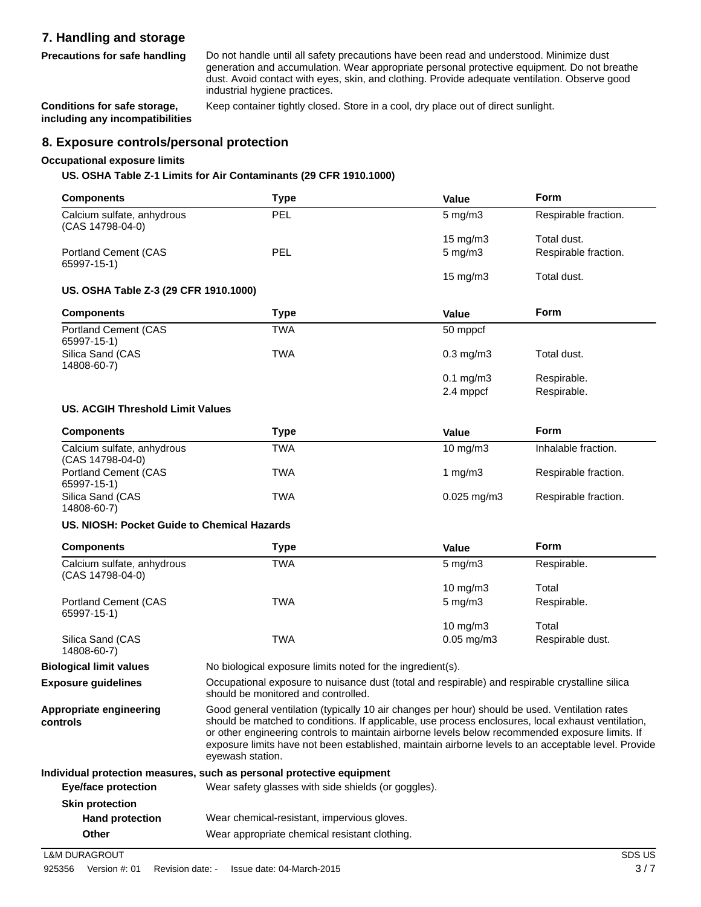## **7. Handling and storage**

**Precautions for safe handling** Do not handle until all safety precautions have been read and understood. Minimize dust generation and accumulation. Wear appropriate personal protective equipment. Do not breathe dust. Avoid contact with eyes, skin, and clothing. Provide adequate ventilation. Observe good industrial hygiene practices.

**Conditions for safe storage, including any incompatibilities** Keep container tightly closed. Store in a cool, dry place out of direct sunlight.

## **8. Exposure controls/personal protection**

#### **Occupational exposure limits**

### **US. OSHA Table Z-1 Limits for Air Contaminants (29 CFR 1910.1000)**

| <b>Components</b>                              | <b>Type</b>                                                                                                                                                                                                                                                                                                                                                                                                                        | Value             | Form                 |
|------------------------------------------------|------------------------------------------------------------------------------------------------------------------------------------------------------------------------------------------------------------------------------------------------------------------------------------------------------------------------------------------------------------------------------------------------------------------------------------|-------------------|----------------------|
| Calcium sulfate, anhydrous<br>(CAS 14798-04-0) | PEL                                                                                                                                                                                                                                                                                                                                                                                                                                | $5$ mg/m $3$      | Respirable fraction. |
|                                                |                                                                                                                                                                                                                                                                                                                                                                                                                                    | $15 \text{ mg/m}$ | Total dust.          |
| <b>Portland Cement (CAS</b><br>65997-15-1)     | PEL                                                                                                                                                                                                                                                                                                                                                                                                                                | $5$ mg/m $3$      | Respirable fraction. |
| US. OSHA Table Z-3 (29 CFR 1910.1000)          |                                                                                                                                                                                                                                                                                                                                                                                                                                    | 15 mg/m3          | Total dust.          |
| <b>Components</b>                              | <b>Type</b>                                                                                                                                                                                                                                                                                                                                                                                                                        | <b>Value</b>      | <b>Form</b>          |
| <b>Portland Cement (CAS</b><br>65997-15-1)     | <b>TWA</b>                                                                                                                                                                                                                                                                                                                                                                                                                         | 50 mppcf          |                      |
| Silica Sand (CAS<br>14808-60-7)                | <b>TWA</b>                                                                                                                                                                                                                                                                                                                                                                                                                         | $0.3$ mg/m $3$    | Total dust.          |
|                                                |                                                                                                                                                                                                                                                                                                                                                                                                                                    | $0.1$ mg/m $3$    | Respirable.          |
|                                                |                                                                                                                                                                                                                                                                                                                                                                                                                                    | 2.4 mppcf         | Respirable.          |
| US. ACGIH Threshold Limit Values               |                                                                                                                                                                                                                                                                                                                                                                                                                                    |                   |                      |
| <b>Components</b>                              | <b>Type</b>                                                                                                                                                                                                                                                                                                                                                                                                                        | Value             | Form                 |
| Calcium sulfate, anhydrous<br>(CAS 14798-04-0) | <b>TWA</b>                                                                                                                                                                                                                                                                                                                                                                                                                         | 10 mg/m3          | Inhalable fraction.  |
| <b>Portland Cement (CAS</b><br>65997-15-1)     | <b>TWA</b>                                                                                                                                                                                                                                                                                                                                                                                                                         | 1 $mg/m3$         | Respirable fraction. |
| Silica Sand (CAS<br>14808-60-7)                | <b>TWA</b>                                                                                                                                                                                                                                                                                                                                                                                                                         | $0.025$ mg/m3     | Respirable fraction. |
| US. NIOSH: Pocket Guide to Chemical Hazards    |                                                                                                                                                                                                                                                                                                                                                                                                                                    |                   |                      |
| <b>Components</b>                              | <b>Type</b>                                                                                                                                                                                                                                                                                                                                                                                                                        | <b>Value</b>      | <b>Form</b>          |
| Calcium sulfate, anhydrous<br>(CAS 14798-04-0) | <b>TWA</b>                                                                                                                                                                                                                                                                                                                                                                                                                         | $5$ mg/m $3$      | Respirable.          |
|                                                |                                                                                                                                                                                                                                                                                                                                                                                                                                    | $10$ mg/m $3$     | Total                |
| <b>Portland Cement (CAS</b><br>65997-15-1)     | <b>TWA</b>                                                                                                                                                                                                                                                                                                                                                                                                                         | $5$ mg/m $3$      | Respirable.          |
|                                                |                                                                                                                                                                                                                                                                                                                                                                                                                                    | $10$ mg/m $3$     | Total                |
| Silica Sand (CAS<br>14808-60-7)                | <b>TWA</b>                                                                                                                                                                                                                                                                                                                                                                                                                         | $0.05$ mg/m $3$   | Respirable dust.     |
| <b>Biological limit values</b>                 | No biological exposure limits noted for the ingredient(s).                                                                                                                                                                                                                                                                                                                                                                         |                   |                      |
| <b>Exposure guidelines</b>                     | Occupational exposure to nuisance dust (total and respirable) and respirable crystalline silica<br>should be monitored and controlled.                                                                                                                                                                                                                                                                                             |                   |                      |
| Appropriate engineering<br>controls            | Good general ventilation (typically 10 air changes per hour) should be used. Ventilation rates<br>should be matched to conditions. If applicable, use process enclosures, local exhaust ventilation,<br>or other engineering controls to maintain airborne levels below recommended exposure limits. If<br>exposure limits have not been established, maintain airborne levels to an acceptable level. Provide<br>eyewash station. |                   |                      |
| <b>Eye/face protection</b>                     | Individual protection measures, such as personal protective equipment<br>Wear safety glasses with side shields (or goggles).                                                                                                                                                                                                                                                                                                       |                   |                      |
| <b>Skin protection</b>                         |                                                                                                                                                                                                                                                                                                                                                                                                                                    |                   |                      |
| <b>Hand protection</b>                         | Wear chemical-resistant, impervious gloves.                                                                                                                                                                                                                                                                                                                                                                                        |                   |                      |
| Other                                          | Wear appropriate chemical resistant clothing.                                                                                                                                                                                                                                                                                                                                                                                      |                   |                      |
|                                                |                                                                                                                                                                                                                                                                                                                                                                                                                                    |                   |                      |

L&M DURAGROUT SOLUS IN A SOLUS IN A SOLUS IN A SOLUS IN A SOLUS IN A SOLUS IN A SOLUS IN SOLUS IN A SOLUS IN SOLUS IN A SOLUS IN A SOLUS IN A SOLUS IN A SOLUS IN A SOLUS IN A SOLUS IN A SOLUS IN A SOLUS IN A SOLUS IN A SOL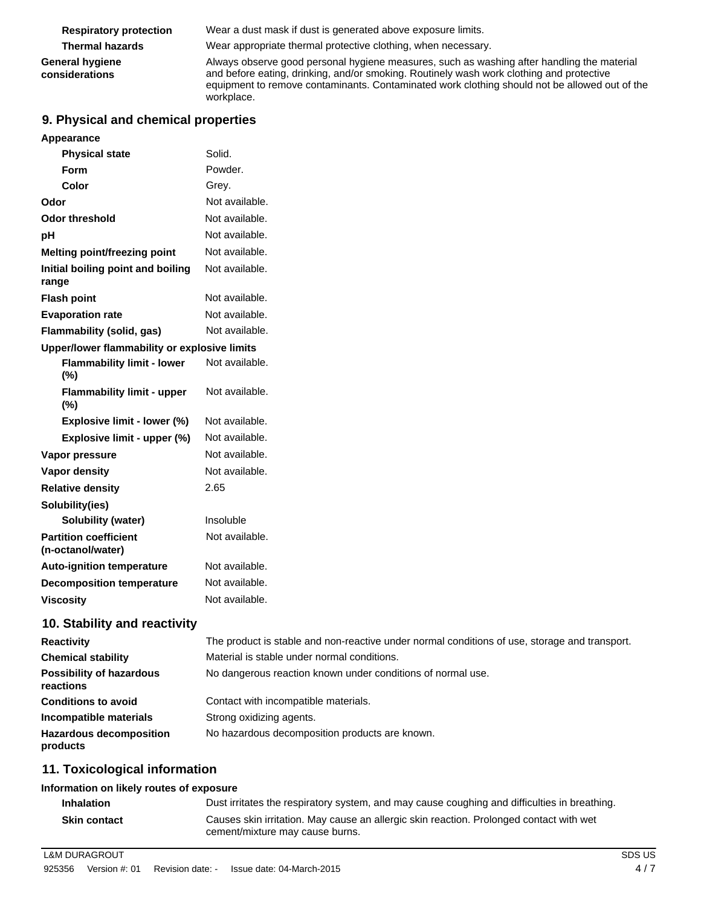**Respiratory protection** Wear a dust mask if dust is generated above exposure limits. **Thermal hazards** Wear appropriate thermal protective clothing, when necessary. **General hygiene considerations** Always observe good personal hygiene measures, such as washing after handling the material and before eating, drinking, and/or smoking. Routinely wash work clothing and protective equipment to remove contaminants. Contaminated work clothing should not be allowed out of the workplace.

## **9. Physical and chemical properties**

| Appearance                                        |                |  |
|---------------------------------------------------|----------------|--|
| <b>Physical state</b>                             | Solid.         |  |
| Form                                              | Powder.        |  |
| Color                                             | Grey.          |  |
| Odor                                              | Not available. |  |
| Odor threshold                                    | Not available. |  |
| рH                                                | Not available. |  |
| Melting point/freezing point                      | Not available. |  |
| Initial boiling point and boiling<br>range        | Not available. |  |
| <b>Flash point</b>                                | Not available. |  |
| <b>Evaporation rate</b>                           | Not available. |  |
| Flammability (solid, gas)                         | Not available. |  |
| Upper/lower flammability or explosive limits      |                |  |
| <b>Flammability limit - lower</b><br>$(\% )$      | Not available. |  |
| <b>Flammability limit - upper</b><br>(%)          | Not available. |  |
| Explosive limit - lower (%)                       | Not available. |  |
| Explosive limit - upper (%)                       | Not available. |  |
| Vapor pressure                                    | Not available. |  |
| <b>Vapor density</b>                              | Not available. |  |
| <b>Relative density</b>                           | 2.65           |  |
| Solubility(ies)                                   |                |  |
| Solubility (water)                                | Insoluble      |  |
| <b>Partition coefficient</b><br>(n-octanol/water) | Not available. |  |
| <b>Auto-ignition temperature</b>                  | Not available. |  |
| <b>Decomposition temperature</b>                  | Not available. |  |
| <b>Viscosity</b>                                  | Not available. |  |
|                                                   |                |  |

## **10. Stability and reactivity**

| <b>Reactivity</b>                            | The product is stable and non-reactive under normal conditions of use, storage and transport. |
|----------------------------------------------|-----------------------------------------------------------------------------------------------|
| <b>Chemical stability</b>                    | Material is stable under normal conditions.                                                   |
| <b>Possibility of hazardous</b><br>reactions | No dangerous reaction known under conditions of normal use.                                   |
| <b>Conditions to avoid</b>                   | Contact with incompatible materials.                                                          |
| Incompatible materials                       | Strong oxidizing agents.                                                                      |
| <b>Hazardous decomposition</b><br>products   | No hazardous decomposition products are known.                                                |

## **11. Toxicological information**

| Information on likely routes of exposure |                                                                                                                            |  |
|------------------------------------------|----------------------------------------------------------------------------------------------------------------------------|--|
| <b>Inhalation</b>                        | Dust irritates the respiratory system, and may cause coughing and difficulties in breathing.                               |  |
| <b>Skin contact</b>                      | Causes skin irritation. May cause an allergic skin reaction. Prolonged contact with wet<br>cement/mixture may cause burns. |  |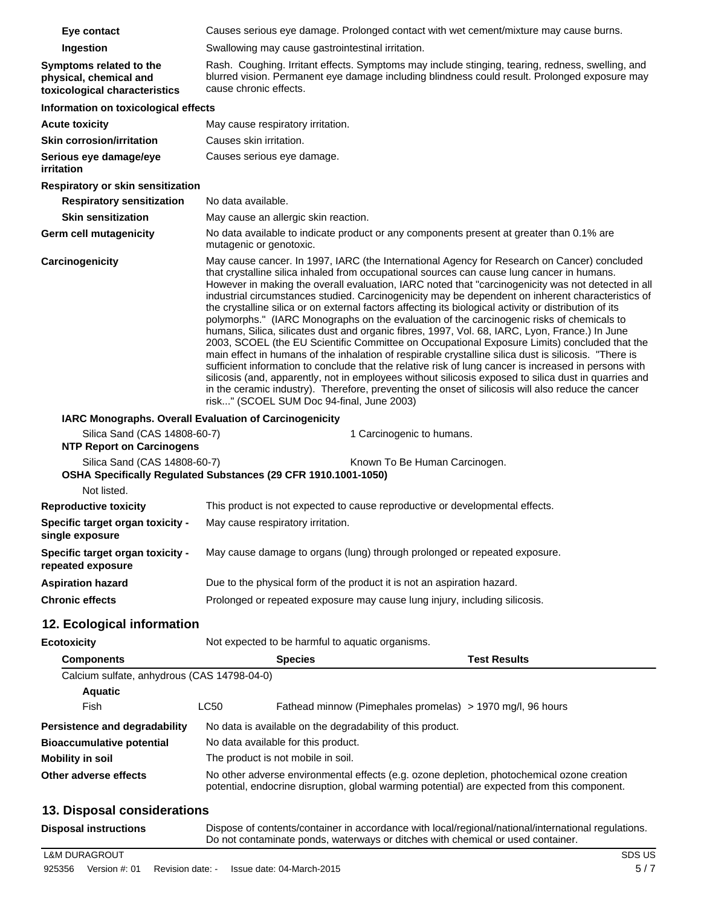| Eye contact                                                                        | Causes serious eye damage. Prolonged contact with wet cement/mixture may cause burns.                                                                                                                                                                                                                                                                                                                                                                                                                                                                                                                                                                                                                                                                                                                                                                                                                                                                                                                                                                                                                                                                                                                                                                                                       |  |
|------------------------------------------------------------------------------------|---------------------------------------------------------------------------------------------------------------------------------------------------------------------------------------------------------------------------------------------------------------------------------------------------------------------------------------------------------------------------------------------------------------------------------------------------------------------------------------------------------------------------------------------------------------------------------------------------------------------------------------------------------------------------------------------------------------------------------------------------------------------------------------------------------------------------------------------------------------------------------------------------------------------------------------------------------------------------------------------------------------------------------------------------------------------------------------------------------------------------------------------------------------------------------------------------------------------------------------------------------------------------------------------|--|
| Ingestion                                                                          | Swallowing may cause gastrointestinal irritation.                                                                                                                                                                                                                                                                                                                                                                                                                                                                                                                                                                                                                                                                                                                                                                                                                                                                                                                                                                                                                                                                                                                                                                                                                                           |  |
| Symptoms related to the<br>physical, chemical and<br>toxicological characteristics | Rash. Coughing. Irritant effects. Symptoms may include stinging, tearing, redness, swelling, and<br>blurred vision. Permanent eye damage including blindness could result. Prolonged exposure may<br>cause chronic effects.                                                                                                                                                                                                                                                                                                                                                                                                                                                                                                                                                                                                                                                                                                                                                                                                                                                                                                                                                                                                                                                                 |  |
| Information on toxicological effects                                               |                                                                                                                                                                                                                                                                                                                                                                                                                                                                                                                                                                                                                                                                                                                                                                                                                                                                                                                                                                                                                                                                                                                                                                                                                                                                                             |  |
| <b>Acute toxicity</b>                                                              | May cause respiratory irritation.                                                                                                                                                                                                                                                                                                                                                                                                                                                                                                                                                                                                                                                                                                                                                                                                                                                                                                                                                                                                                                                                                                                                                                                                                                                           |  |
| <b>Skin corrosion/irritation</b>                                                   | Causes skin irritation.                                                                                                                                                                                                                                                                                                                                                                                                                                                                                                                                                                                                                                                                                                                                                                                                                                                                                                                                                                                                                                                                                                                                                                                                                                                                     |  |
| Serious eye damage/eye<br>irritation                                               | Causes serious eye damage.                                                                                                                                                                                                                                                                                                                                                                                                                                                                                                                                                                                                                                                                                                                                                                                                                                                                                                                                                                                                                                                                                                                                                                                                                                                                  |  |
| Respiratory or skin sensitization                                                  |                                                                                                                                                                                                                                                                                                                                                                                                                                                                                                                                                                                                                                                                                                                                                                                                                                                                                                                                                                                                                                                                                                                                                                                                                                                                                             |  |
| <b>Respiratory sensitization</b>                                                   | No data available.                                                                                                                                                                                                                                                                                                                                                                                                                                                                                                                                                                                                                                                                                                                                                                                                                                                                                                                                                                                                                                                                                                                                                                                                                                                                          |  |
| <b>Skin sensitization</b>                                                          | May cause an allergic skin reaction.                                                                                                                                                                                                                                                                                                                                                                                                                                                                                                                                                                                                                                                                                                                                                                                                                                                                                                                                                                                                                                                                                                                                                                                                                                                        |  |
| Germ cell mutagenicity                                                             | No data available to indicate product or any components present at greater than 0.1% are<br>mutagenic or genotoxic.                                                                                                                                                                                                                                                                                                                                                                                                                                                                                                                                                                                                                                                                                                                                                                                                                                                                                                                                                                                                                                                                                                                                                                         |  |
| Carcinogenicity                                                                    | May cause cancer. In 1997, IARC (the International Agency for Research on Cancer) concluded<br>that crystalline silica inhaled from occupational sources can cause lung cancer in humans.<br>However in making the overall evaluation, IARC noted that "carcinogenicity was not detected in all<br>industrial circumstances studied. Carcinogenicity may be dependent on inherent characteristics of<br>the crystalline silica or on external factors affecting its biological activity or distribution of its<br>polymorphs." (IARC Monographs on the evaluation of the carcinogenic risks of chemicals to<br>humans, Silica, silicates dust and organic fibres, 1997, Vol. 68, IARC, Lyon, France.) In June<br>2003, SCOEL (the EU Scientific Committee on Occupational Exposure Limits) concluded that the<br>main effect in humans of the inhalation of respirable crystalline silica dust is silicosis. "There is<br>sufficient information to conclude that the relative risk of lung cancer is increased in persons with<br>silicosis (and, apparently, not in employees without silicosis exposed to silica dust in quarries and<br>in the ceramic industry). Therefore, preventing the onset of silicosis will also reduce the cancer<br>risk" (SCOEL SUM Doc 94-final, June 2003) |  |
|                                                                                    | IARC Monographs. Overall Evaluation of Carcinogenicity                                                                                                                                                                                                                                                                                                                                                                                                                                                                                                                                                                                                                                                                                                                                                                                                                                                                                                                                                                                                                                                                                                                                                                                                                                      |  |
| Silica Sand (CAS 14808-60-7)<br><b>NTP Report on Carcinogens</b>                   | 1 Carcinogenic to humans.                                                                                                                                                                                                                                                                                                                                                                                                                                                                                                                                                                                                                                                                                                                                                                                                                                                                                                                                                                                                                                                                                                                                                                                                                                                                   |  |
| Silica Sand (CAS 14808-60-7)                                                       | Known To Be Human Carcinogen.<br>OSHA Specifically Regulated Substances (29 CFR 1910.1001-1050)                                                                                                                                                                                                                                                                                                                                                                                                                                                                                                                                                                                                                                                                                                                                                                                                                                                                                                                                                                                                                                                                                                                                                                                             |  |
| Not listed.                                                                        |                                                                                                                                                                                                                                                                                                                                                                                                                                                                                                                                                                                                                                                                                                                                                                                                                                                                                                                                                                                                                                                                                                                                                                                                                                                                                             |  |
| <b>Reproductive toxicity</b>                                                       | This product is not expected to cause reproductive or developmental effects.                                                                                                                                                                                                                                                                                                                                                                                                                                                                                                                                                                                                                                                                                                                                                                                                                                                                                                                                                                                                                                                                                                                                                                                                                |  |
| Specific target organ toxicity -<br>single exposure                                | May cause respiratory irritation.                                                                                                                                                                                                                                                                                                                                                                                                                                                                                                                                                                                                                                                                                                                                                                                                                                                                                                                                                                                                                                                                                                                                                                                                                                                           |  |
| Specific target organ toxicity -<br>repeated exposure                              | May cause damage to organs (lung) through prolonged or repeated exposure.                                                                                                                                                                                                                                                                                                                                                                                                                                                                                                                                                                                                                                                                                                                                                                                                                                                                                                                                                                                                                                                                                                                                                                                                                   |  |
| <b>Aspiration hazard</b>                                                           | Due to the physical form of the product it is not an aspiration hazard.                                                                                                                                                                                                                                                                                                                                                                                                                                                                                                                                                                                                                                                                                                                                                                                                                                                                                                                                                                                                                                                                                                                                                                                                                     |  |
| <b>Chronic effects</b>                                                             | Prolonged or repeated exposure may cause lung injury, including silicosis.                                                                                                                                                                                                                                                                                                                                                                                                                                                                                                                                                                                                                                                                                                                                                                                                                                                                                                                                                                                                                                                                                                                                                                                                                  |  |
| 12. Ecological information                                                         |                                                                                                                                                                                                                                                                                                                                                                                                                                                                                                                                                                                                                                                                                                                                                                                                                                                                                                                                                                                                                                                                                                                                                                                                                                                                                             |  |
| <b>Ecotoxicity</b>                                                                 | Not expected to be harmful to aquatic organisms.                                                                                                                                                                                                                                                                                                                                                                                                                                                                                                                                                                                                                                                                                                                                                                                                                                                                                                                                                                                                                                                                                                                                                                                                                                            |  |
| <b>Components</b>                                                                  | <b>Test Results</b><br><b>Species</b>                                                                                                                                                                                                                                                                                                                                                                                                                                                                                                                                                                                                                                                                                                                                                                                                                                                                                                                                                                                                                                                                                                                                                                                                                                                       |  |
| Calcium sulfate, anhydrous (CAS 14798-04-0)                                        |                                                                                                                                                                                                                                                                                                                                                                                                                                                                                                                                                                                                                                                                                                                                                                                                                                                                                                                                                                                                                                                                                                                                                                                                                                                                                             |  |
| <b>Aquatic</b>                                                                     |                                                                                                                                                                                                                                                                                                                                                                                                                                                                                                                                                                                                                                                                                                                                                                                                                                                                                                                                                                                                                                                                                                                                                                                                                                                                                             |  |
| Fish                                                                               | LC50<br>Fathead minnow (Pimephales promelas) > 1970 mg/l, 96 hours                                                                                                                                                                                                                                                                                                                                                                                                                                                                                                                                                                                                                                                                                                                                                                                                                                                                                                                                                                                                                                                                                                                                                                                                                          |  |
| Persistence and degradability                                                      | No data is available on the degradability of this product.                                                                                                                                                                                                                                                                                                                                                                                                                                                                                                                                                                                                                                                                                                                                                                                                                                                                                                                                                                                                                                                                                                                                                                                                                                  |  |
| <b>Bioaccumulative potential</b>                                                   | No data available for this product.                                                                                                                                                                                                                                                                                                                                                                                                                                                                                                                                                                                                                                                                                                                                                                                                                                                                                                                                                                                                                                                                                                                                                                                                                                                         |  |
| <b>Mobility in soil</b>                                                            | The product is not mobile in soil.                                                                                                                                                                                                                                                                                                                                                                                                                                                                                                                                                                                                                                                                                                                                                                                                                                                                                                                                                                                                                                                                                                                                                                                                                                                          |  |
| Other adverse effects                                                              | No other adverse environmental effects (e.g. ozone depletion, photochemical ozone creation<br>potential, endocrine disruption, global warming potential) are expected from this component.                                                                                                                                                                                                                                                                                                                                                                                                                                                                                                                                                                                                                                                                                                                                                                                                                                                                                                                                                                                                                                                                                                  |  |
| 13. Disposal considerations                                                        |                                                                                                                                                                                                                                                                                                                                                                                                                                                                                                                                                                                                                                                                                                                                                                                                                                                                                                                                                                                                                                                                                                                                                                                                                                                                                             |  |

**Disposal instructions** Dispose of contents/container in accordance with local/regional/national/international regulations. Do not contaminate ponds, waterways or ditches with chemical or used container.

**L&M DURAGROUT** SDS US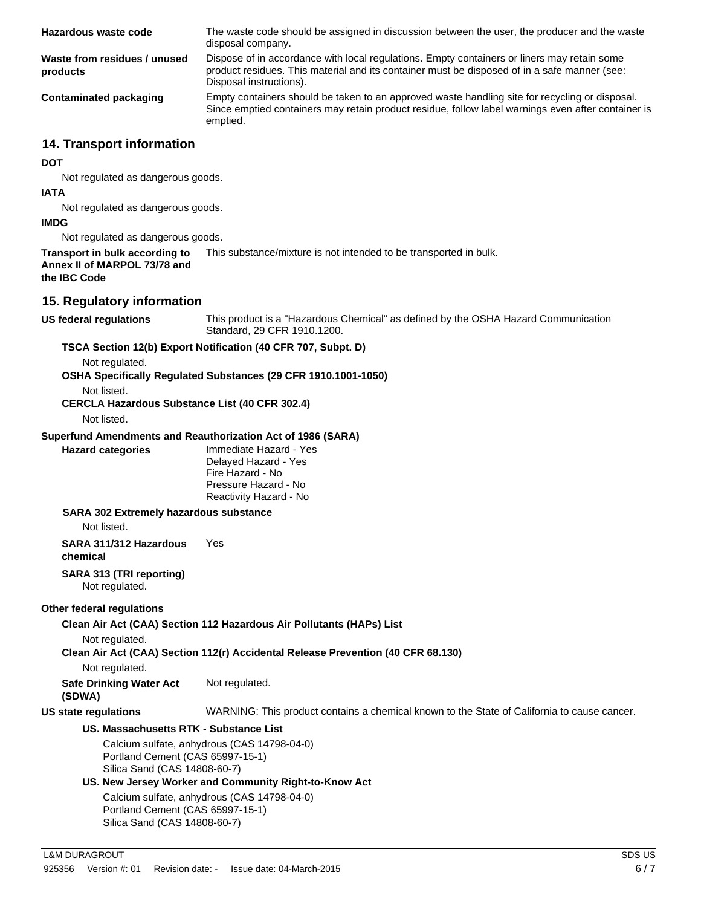| Hazardous waste code                                                                                            | The waste code should be assigned in discussion between the user, the producer and the waste<br>disposal company.                                                                                                      |
|-----------------------------------------------------------------------------------------------------------------|------------------------------------------------------------------------------------------------------------------------------------------------------------------------------------------------------------------------|
| Waste from residues / unused<br>products                                                                        | Dispose of in accordance with local regulations. Empty containers or liners may retain some<br>product residues. This material and its container must be disposed of in a safe manner (see:<br>Disposal instructions). |
| <b>Contaminated packaging</b>                                                                                   | Empty containers should be taken to an approved waste handling site for recycling or disposal.<br>Since emptied containers may retain product residue, follow label warnings even after container is<br>emptied.       |
| <b>14. Transport information</b>                                                                                |                                                                                                                                                                                                                        |
| <b>DOT</b>                                                                                                      |                                                                                                                                                                                                                        |
| Not regulated as dangerous goods.                                                                               |                                                                                                                                                                                                                        |
| <b>IATA</b>                                                                                                     |                                                                                                                                                                                                                        |
| Not regulated as dangerous goods.<br><b>IMDG</b>                                                                |                                                                                                                                                                                                                        |
| Not regulated as dangerous goods.                                                                               |                                                                                                                                                                                                                        |
| Transport in bulk according to<br>Annex II of MARPOL 73/78 and                                                  | This substance/mixture is not intended to be transported in bulk.                                                                                                                                                      |
| the IBC Code                                                                                                    |                                                                                                                                                                                                                        |
| 15. Regulatory information                                                                                      |                                                                                                                                                                                                                        |
| <b>US federal regulations</b>                                                                                   | This product is a "Hazardous Chemical" as defined by the OSHA Hazard Communication<br>Standard, 29 CFR 1910.1200.                                                                                                      |
|                                                                                                                 | TSCA Section 12(b) Export Notification (40 CFR 707, Subpt. D)                                                                                                                                                          |
| Not regulated.                                                                                                  | OSHA Specifically Regulated Substances (29 CFR 1910.1001-1050)                                                                                                                                                         |
| Not listed.<br><b>CERCLA Hazardous Substance List (40 CFR 302.4)</b>                                            |                                                                                                                                                                                                                        |
| Not listed.                                                                                                     |                                                                                                                                                                                                                        |
| Superfund Amendments and Reauthorization Act of 1986 (SARA)                                                     |                                                                                                                                                                                                                        |
| <b>Hazard categories</b>                                                                                        | Immediate Hazard - Yes<br>Delayed Hazard - Yes<br>Fire Hazard - No<br>Pressure Hazard - No                                                                                                                             |
| <b>SARA 302 Extremely hazardous substance</b>                                                                   | Reactivity Hazard - No                                                                                                                                                                                                 |
| Not listed.                                                                                                     |                                                                                                                                                                                                                        |
| SARA 311/312 Hazardous                                                                                          | Yes                                                                                                                                                                                                                    |
| chemical                                                                                                        |                                                                                                                                                                                                                        |
| SARA 313 (TRI reporting)<br>Not regulated.                                                                      |                                                                                                                                                                                                                        |
| Other federal regulations                                                                                       |                                                                                                                                                                                                                        |
|                                                                                                                 | Clean Air Act (CAA) Section 112 Hazardous Air Pollutants (HAPs) List                                                                                                                                                   |
| Not regulated.                                                                                                  | Clean Air Act (CAA) Section 112(r) Accidental Release Prevention (40 CFR 68.130)                                                                                                                                       |
| Not regulated.                                                                                                  |                                                                                                                                                                                                                        |
| <b>Safe Drinking Water Act</b><br>(SDWA)                                                                        | Not regulated.                                                                                                                                                                                                         |
| <b>US state regulations</b>                                                                                     | WARNING: This product contains a chemical known to the State of California to cause cancer.                                                                                                                            |
| US. Massachusetts RTK - Substance List                                                                          |                                                                                                                                                                                                                        |
| Calcium sulfate, anhydrous (CAS 14798-04-0)<br>Portland Cement (CAS 65997-15-1)<br>Silica Sand (CAS 14808-60-7) |                                                                                                                                                                                                                        |
|                                                                                                                 | US. New Jersey Worker and Community Right-to-Know Act                                                                                                                                                                  |
| Portland Cement (CAS 65997-15-1)<br>Silica Sand (CAS 14808-60-7)                                                | Calcium sulfate, anhydrous (CAS 14798-04-0)                                                                                                                                                                            |